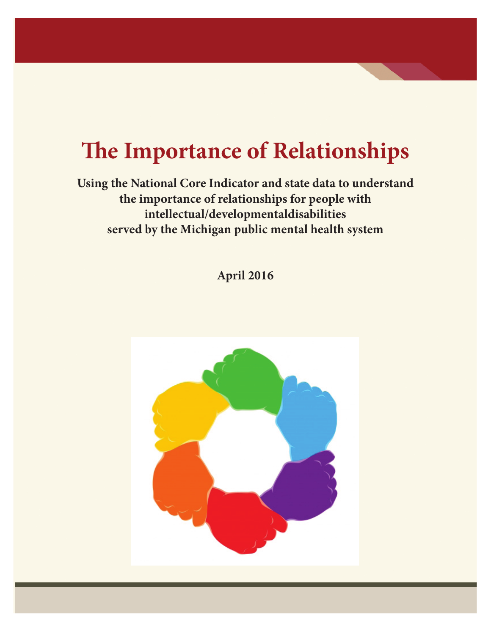# **The Importance of Relationships**

**Using the National Core Indicator and state data to understand the importance of relationships for people with intellectual/developmentaldisabilities served by the Michigan public mental health system**

**April 2016**

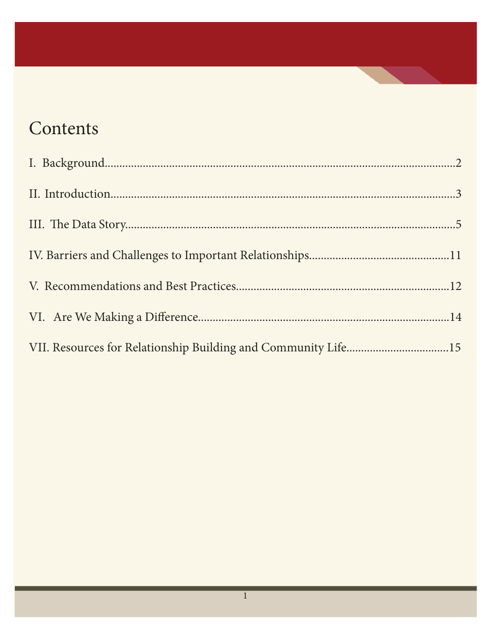## Contents

| VII. Resources for Relationship Building and Community Life15 |  |
|---------------------------------------------------------------|--|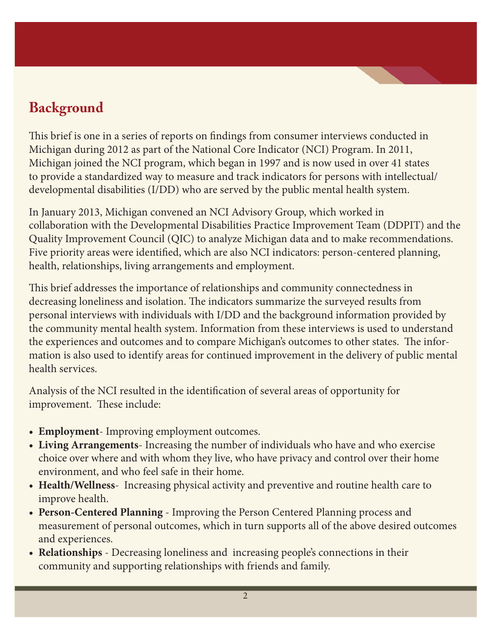### **Background**

This brief is one in a series of reports on findings from consumer interviews conducted in Michigan during 2012 as part of the National Core Indicator (NCI) Program. In 2011, Michigan joined the NCI program, which began in 1997 and is now used in over 41 states to provide a standardized way to measure and track indicators for persons with intellectual/ developmental disabilities (I/DD) who are served by the public mental health system.

In January 2013, Michigan convened an NCI Advisory Group, which worked in collaboration with the Developmental Disabilities Practice Improvement Team (DDPIT) and the Quality Improvement Council (QIC) to analyze Michigan data and to make recommendations. Five priority areas were identified, which are also NCI indicators: person-centered planning, health, relationships, living arrangements and employment.

This brief addresses the importance of relationships and community connectedness in decreasing loneliness and isolation. The indicators summarize the surveyed results from personal interviews with individuals with I/DD and the background information provided by the community mental health system. Information from these interviews is used to understand the experiences and outcomes and to compare Michigan's outcomes to other states. The information is also used to identify areas for continued improvement in the delivery of public mental health services.

Analysis of the NCI resulted in the identification of several areas of opportunity for improvement. These include:

- **Employment** Improving employment outcomes.
- Living Arrangements- Increasing the number of individuals who have and who exercise choice over where and with whom they live, who have privacy and control over their home environment, and who feel safe in their home.
- Health/Wellness- Increasing physical activity and preventive and routine health care to improve health.
- **• Person-Centered Planning** Improving the Person Centered Planning process and measurement of personal outcomes, which in turn supports all of the above desired outcomes and experiences.
- **Relationships** Decreasing loneliness and increasing people's connections in their community and supporting relationships with friends and family.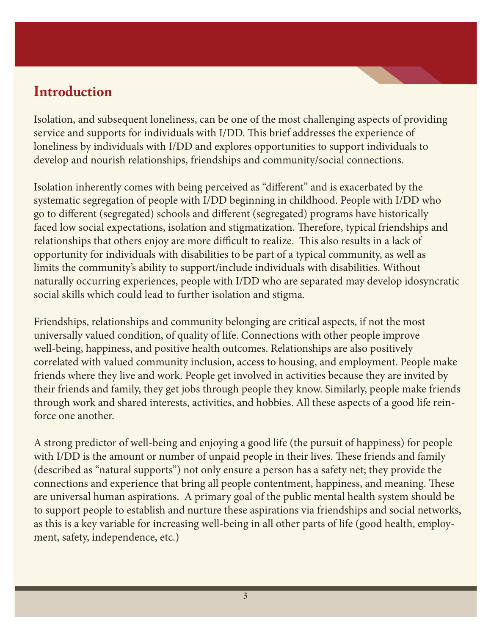### **Introduction**

Isolation, and subsequent loneliness, can be one of the most challenging aspects of providing service and supports for individuals with I/DD. This brief addresses the experience of loneliness by individuals with I/DD and explores opportunities to support individuals to develop and nourish relationships, friendships and community/social connections.

Isolation inherently comes with being perceived as "different" and is exacerbated by the systematic segregation of people with I/DD beginning in childhood. People with I/DD who go to different (segregated) schools and different (segregated) programs have historically faced low social expectations, isolation and stigmatization. Therefore, typical friendships and relationships that others enjoy are more difficult to realize. This also results in a lack of opportunity for individuals with disabilities to be part of a typical community, as well as limits the community's ability to support/include individuals with disabilities. Without naturally occurring experiences, people with I/DD who are separated may develop idosyncratic social skills which could lead to further isolation and stigma.

Friendships, relationships and community belonging are critical aspects, if not the most universally valued condition, of quality of life. Connections with other people improve well-being, happiness, and positive health outcomes. Relationships are also positively correlated with valued community inclusion, access to housing, and employment. People make friends where they live and work. People get involved in activities because they are invited by their friends and family, they get jobs through people they know. Similarly, people make friends through work and shared interests, activities, and hobbies. All these aspects of a good life reinforce one another.

A strong predictor of well-being and enjoying a good life (the pursuit of happiness) for people with I/DD is the amount or number of unpaid people in their lives. These friends and family (described as "natural supports") not only ensure a person has a safety net; they provide the connections and experience that bring all people contentment, happiness, and meaning. These are universal human aspirations. A primary goal of the public mental health system should be to support people to establish and nurture these aspirations via friendships and social networks, as this is a key variable for increasing well-being in all other parts of life (good health, employment, safety, independence, etc.)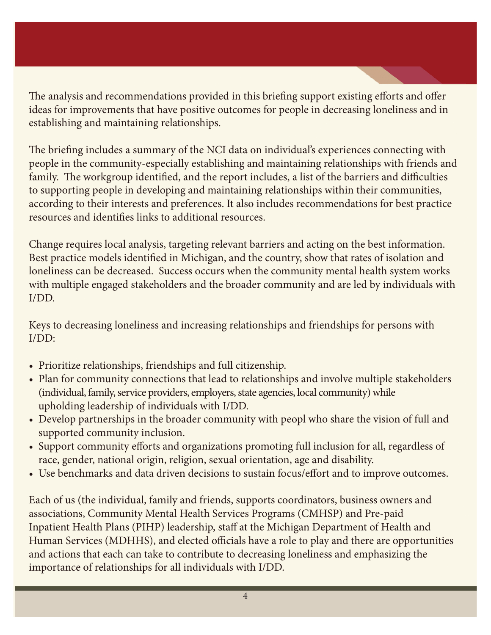The analysis and recommendations provided in this briefing support existing efforts and offer ideas for improvements that have positive outcomes for people in decreasing loneliness and in establishing and maintaining relationships.

The briefing includes a summary of the NCI data on individual's experiences connecting with people in the community-especially establishing and maintaining relationships with friends and family. The workgroup identified, and the report includes, a list of the barriers and difficulties to supporting people in developing and maintaining relationships within their communities, according to their interests and preferences. It also includes recommendations for best practice resources and identifies links to additional resources.

Change requires local analysis, targeting relevant barriers and acting on the best information. Best practice models identified in Michigan, and the country, show that rates of isolation and loneliness can be decreased. Success occurs when the community mental health system works with multiple engaged stakeholders and the broader community and are led by individuals with I/DD.

Keys to decreasing loneliness and increasing relationships and friendships for persons with I/DD:

- Prioritize relationships, friendships and full citizenship.
- Plan for community connections that lead to relationships and involve multiple stakeholders (individual, family, service providers, employers, state agencies, local community) while upholding leadership of individuals with I/DD.
- Develop partnerships in the broader community with peopl who share the vision of full and supported community inclusion.
- Support community efforts and organizations promoting full inclusion for all, regardless of race, gender, national origin, religion, sexual orientation, age and disability.
- Use benchmarks and data driven decisions to sustain focus/effort and to improve outcomes.

Each of us (the individual, family and friends, supports coordinators, business owners and associations, Community Mental Health Services Programs (CMHSP) and Pre-paid Inpatient Health Plans (PIHP) leadership, staff at the Michigan Department of Health and Human Services (MDHHS), and elected officials have a role to play and there are opportunities and actions that each can take to contribute to decreasing loneliness and emphasizing the importance of relationships for all individuals with I/DD.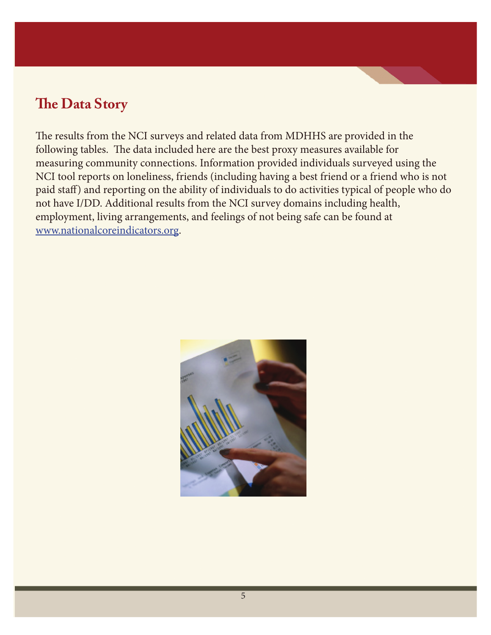### **The Data Story**

The results from the NCI surveys and related data from MDHHS are provided in the following tables. The data included here are the best proxy measures available for measuring community connections. Information provided individuals surveyed using the NCI tool reports on loneliness, friends (including having a best friend or a friend who is not paid staff) and reporting on the ability of individuals to do activities typical of people who do not have I/DD. Additional results from the NCI survey domains including health, employment, living arrangements, and feelings of not being safe can be found at www.nationalcoreindicators.org.

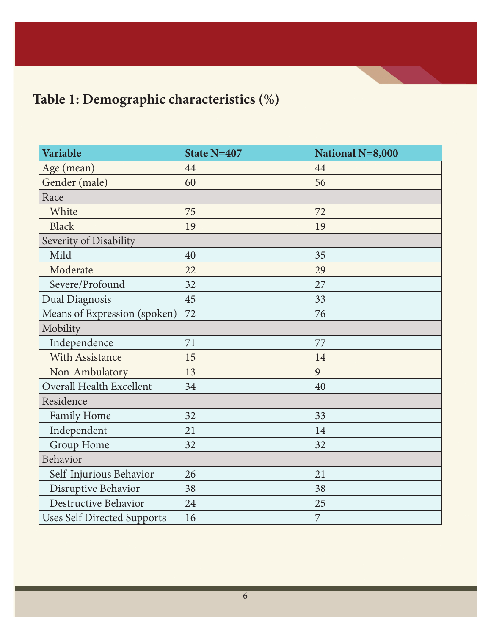## **Table 1: Demographic characteristics (%)**

| Variable                           | State N=407 | National N=8,000 |
|------------------------------------|-------------|------------------|
| Age (mean)                         | 44          | 44               |
| Gender (male)                      | 60          | 56               |
| Race                               |             |                  |
| White                              | 75          | 72               |
| <b>Black</b>                       | 19          | 19               |
| Severity of Disability             |             |                  |
| Mild                               | 40          | 35               |
| Moderate                           | 22          | 29               |
| Severe/Profound                    | 32          | 27               |
| <b>Dual Diagnosis</b>              | 45          | 33               |
| Means of Expression (spoken)       | 72          | 76               |
| Mobility                           |             |                  |
| Independence                       | 71          | 77               |
| With Assistance                    | 15          | 14               |
| Non-Ambulatory                     | 13          | 9                |
| Overall Health Excellent           | 34          | 40               |
| Residence                          |             |                  |
| Family Home                        | 32          | 33               |
| Independent                        | 21          | 14               |
| Group Home                         | 32          | 32               |
| Behavior                           |             |                  |
| Self-Injurious Behavior            | 26          | 21               |
| Disruptive Behavior                | 38          | 38               |
| Destructive Behavior               | 24          | 25               |
| <b>Uses Self Directed Supports</b> | 16          | $\overline{7}$   |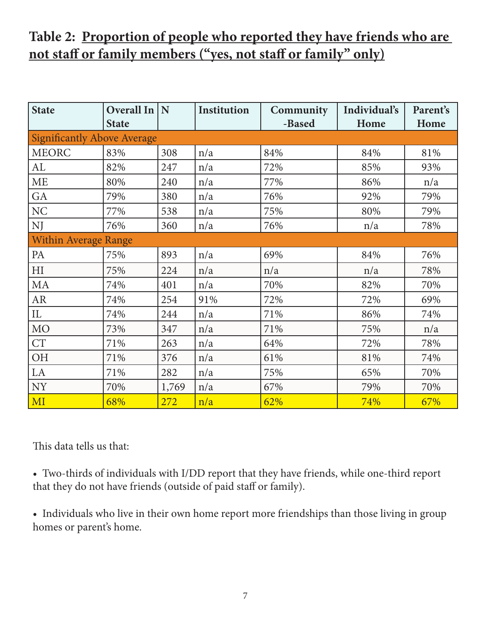### **Table 2: Proportion of people who reported they have friends who are not staff or family members ("yes, not staff or family" only)**

| <b>State</b>                       | <b>Overall In</b> | N     | Institution | Community | Individual's | Parent's |  |
|------------------------------------|-------------------|-------|-------------|-----------|--------------|----------|--|
|                                    | <b>State</b>      |       |             | -Based    | Home         | Home     |  |
| <b>Significantly Above Average</b> |                   |       |             |           |              |          |  |
| <b>MEORC</b>                       | 83%               | 308   | n/a         | 84%       | 84%          | 81%      |  |
| AL                                 | 82%               | 247   | n/a         | 72%       | 85%          | 93%      |  |
| <b>ME</b>                          | 80%               | 240   | n/a         | 77%       | 86%          | n/a      |  |
| GA                                 | 79%               | 380   | n/a         | 76%       | 92%          | 79%      |  |
| NC                                 | 77%               | 538   | n/a         | 75%       | 80%          | 79%      |  |
| NJ                                 | 76%               | 360   | n/a         | 76%       | n/a          | 78%      |  |
| <b>Within Average Range</b>        |                   |       |             |           |              |          |  |
| PA                                 | 75%               | 893   | n/a         | 69%       | 84%          | 76%      |  |
| H <sub>I</sub>                     | 75%               | 224   | n/a         | n/a       | n/a          | 78%      |  |
| MA                                 | 74%               | 401   | n/a         | 70%       | 82%          | 70%      |  |
| AR                                 | 74%               | 254   | 91%         | 72%       | 72%          | 69%      |  |
| IL                                 | 74%               | 244   | n/a         | 71%       | 86%          | 74%      |  |
| <b>MO</b>                          | 73%               | 347   | n/a         | 71%       | 75%          | n/a      |  |
| <b>CT</b>                          | 71%               | 263   | n/a         | 64%       | 72%          | 78%      |  |
| OH                                 | 71%               | 376   | n/a         | 61%       | 81%          | 74%      |  |
| LA                                 | 71%               | 282   | n/a         | 75%       | 65%          | 70%      |  |
| <b>NY</b>                          | 70%               | 1,769 | n/a         | 67%       | 79%          | 70%      |  |
| MI                                 | 68%               | 272   | n/a         | 62%       | 74%          | 67%      |  |

This data tells us that:

• Two-thirds of individuals with I/DD report that they have friends, while one-third report that they do not have friends (outside of paid staff or family).

• Individuals who live in their own home report more friendships than those living in group homes or parent's home.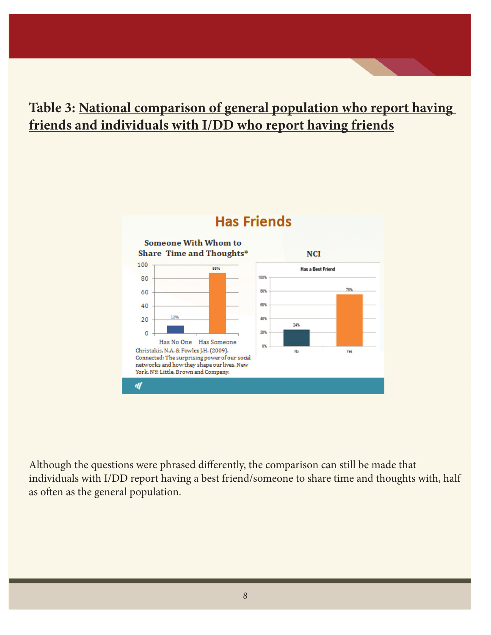### **Table 3: National comparison of general population who report having friends and individuals with I/DD who report having friends**



#### **Has Friends**

Although the questions were phrased differently, the comparison can still be made that individuals with I/DD report having a best friend/someone to share time and thoughts with, half as often as the general population.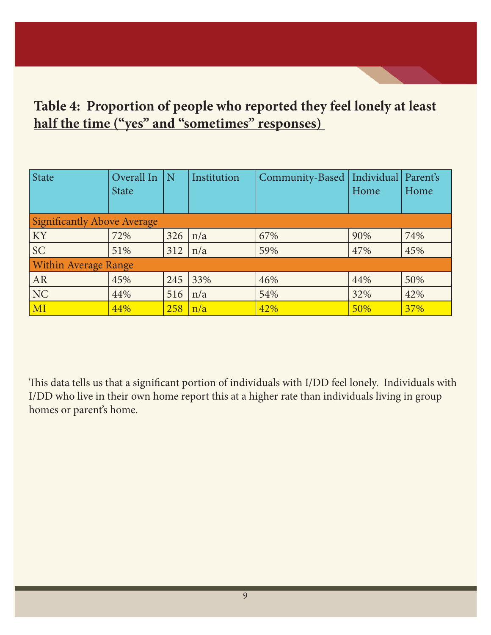### **Table 4: Proportion of people who reported they feel lonely at least half the time ("yes" and "sometimes" responses)**

| State                              | Overall In<br><b>State</b> | l N | Institution | Community-Based   Individual   Parent's | Home | Home |
|------------------------------------|----------------------------|-----|-------------|-----------------------------------------|------|------|
| <b>Significantly Above Average</b> |                            |     |             |                                         |      |      |
| KY                                 | 72%                        | 326 | n/a         | 67%                                     | 90%  | 74%  |
| <b>SC</b>                          | 51%                        | 312 | n/a         | 59%                                     | 47%  | 45%  |
| <b>Within Average Range</b>        |                            |     |             |                                         |      |      |
| AR                                 | 45%                        | 245 | 33%         | 46%                                     | 44%  | 50%  |
| NC                                 | 44%                        | 516 | n/a         | 54%                                     | 32%  | 42%  |
| MI                                 | 44%                        | 258 | n/a         | 42%                                     | 50%  | 37%  |

This data tells us that a significant portion of individuals with I/DD feel lonely. Individuals with I/DD who live in their own home report this at a higher rate than individuals living in group homes or parent's home.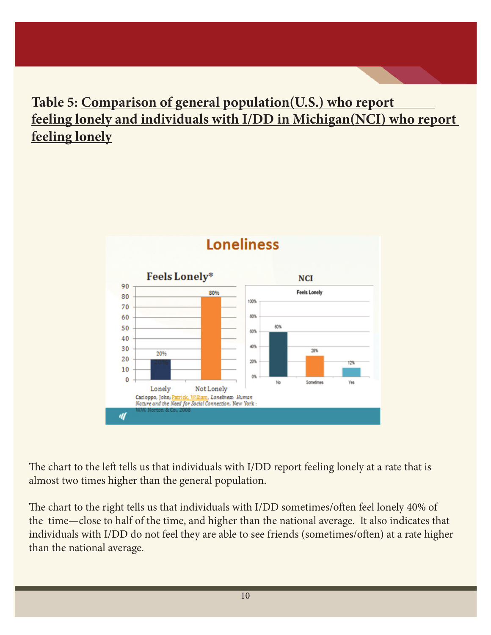### **Table 5: Comparison of general population(U.S.) who report feeling lonely and individuals with I/DD in Michigan(NCI) who report feeling lonely**



The chart to the left tells us that individuals with I/DD report feeling lonely at a rate that is almost two times higher than the general population.

The chart to the right tells us that individuals with I/DD sometimes/often feel lonely 40% of the time—close to half of the time, and higher than the national average. It also indicates that individuals with I/DD do not feel they are able to see friends (sometimes/often) at a rate higher than the national average.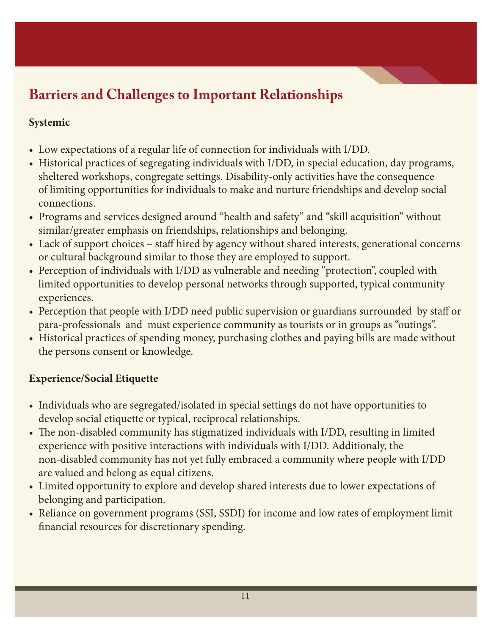### **Barriers and Challenges to Important Relationships**

#### **Systemic**

- • Low expectations of a regular life of connection for individuals with I/DD.
- Historical practices of segregating individuals with I/DD, in special education, day programs, sheltered workshops, congregate settings. Disability-only activities have the consequence of limiting opportunities for individuals to make and nurture friendships and develop social connections.
- Programs and services designed around "health and safety" and "skill acquisition" without similar/greater emphasis on friendships, relationships and belonging.
- Lack of support choices staff hired by agency without shared interests, generational concerns or cultural background similar to those they are employed to support.
- Perception of individuals with I/DD as vulnerable and needing "protection", coupled with limited opportunities to develop personal networks through supported, typical community experiences.
- Perception that people with I/DD need public supervision or guardians surrounded by staff or para-professionals and must experience community as tourists or in groups as "outings".
- Historical practices of spending money, purchasing clothes and paying bills are made without the persons consent or knowledge.

#### **Experience/Social Etiquette**

- Individuals who are segregated/isolated in special settings do not have opportunities to develop social etiquette or typical, reciprocal relationships.
- The non-disabled community has stigmatized individuals with I/DD, resulting in limited experience with positive interactions with individuals with I/DD. Additionaly, the non-disabled community has not yet fully embraced a community where people with I/DD are valued and belong as equal citizens.
- • Limited opportunity to explore and develop shared interests due to lower expectations of belonging and participation.
- Reliance on government programs (SSI, SSDI) for income and low rates of employment limit financial resources for discretionary spending.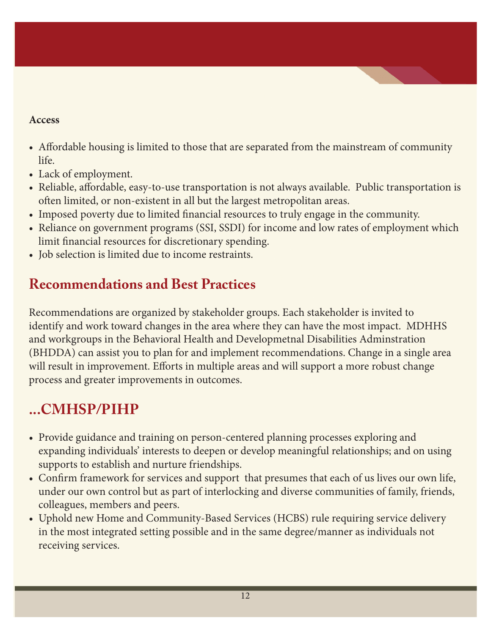#### **Access**

- Affordable housing is limited to those that are separated from the mainstream of community life.
- Lack of employment.
- Reliable, affordable, easy-to-use transportation is not always available. Public transportation is often limited, or non-existent in all but the largest metropolitan areas.
- Imposed poverty due to limited financial resources to truly engage in the community.
- Reliance on government programs (SSI, SSDI) for income and low rates of employment which limit financial resources for discretionary spending.
- Iob selection is limited due to income restraints.

### **Recommendations and Best Practices**

Recommendations are organized by stakeholder groups. Each stakeholder is invited to identify and work toward changes in the area where they can have the most impact. MDHHS and workgroups in the Behavioral Health and Developmetnal Disabilities Adminstration (BHDDA) can assist you to plan for and implement recommendations. Change in a single area will result in improvement. Efforts in multiple areas and will support a more robust change process and greater improvements in outcomes.

### **...CMHSP/PIHP**

- Provide guidance and training on person-centered planning processes exploring and expanding individuals' interests to deepen or develop meaningful relationships; and on using supports to establish and nurture friendships.
- Confirm framework for services and support that presumes that each of us lives our own life, under our own control but as part of interlocking and diverse communities of family, friends, colleagues, members and peers.
- Uphold new Home and Community-Based Services (HCBS) rule requiring service delivery in the most integrated setting possible and in the same degree/manner as individuals not receiving services.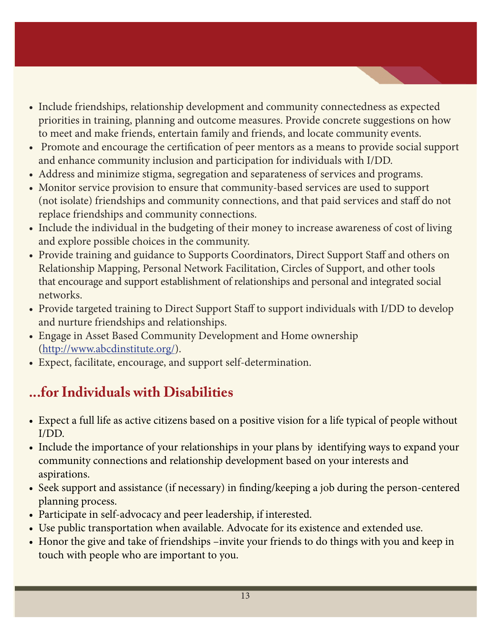- Include friendships, relationship development and community connectedness as expected priorities in training, planning and outcome measures. Provide concrete suggestions on how to meet and make friends, entertain family and friends, and locate community events.
- Promote and encourage the certification of peer mentors as a means to provide social support and enhance community inclusion and participation for individuals with I/DD.
- Address and minimize stigma, segregation and separateness of services and programs.
- Monitor service provision to ensure that community-based services are used to support (not isolate) friendships and community connections, and that paid services and staff do not replace friendships and community connections.
- Include the individual in the budgeting of their money to increase awareness of cost of living and explore possible choices in the community.
- Provide training and guidance to Supports Coordinators, Direct Support Staff and others on Relationship Mapping, Personal Network Facilitation, Circles of Support, and other tools that encourage and support establishment of relationships and personal and integrated social networks.
- Provide targeted training to Direct Support Staff to support individuals with I/DD to develop and nurture friendships and relationships.
- Engage in Asset Based Community Development and Home ownership (http://www.abcdinstitute.org/).
- • Expect, facilitate, encourage, and support self-determination.

### **...for Individuals with Disabilities**

- Expect a full life as active citizens based on a positive vision for a life typical of people without I/DD.
- Include the importance of your relationships in your plans by identifying ways to expand your community connections and relationship development based on your interests and aspirations.
- Seek support and assistance (if necessary) in finding/keeping a job during the person-centered planning process.
- Participate in self-advocacy and peer leadership, if interested.
- Use public transportation when available. Advocate for its existence and extended use.
- Honor the give and take of friendships -invite your friends to do things with you and keep in touch with people who are important to you.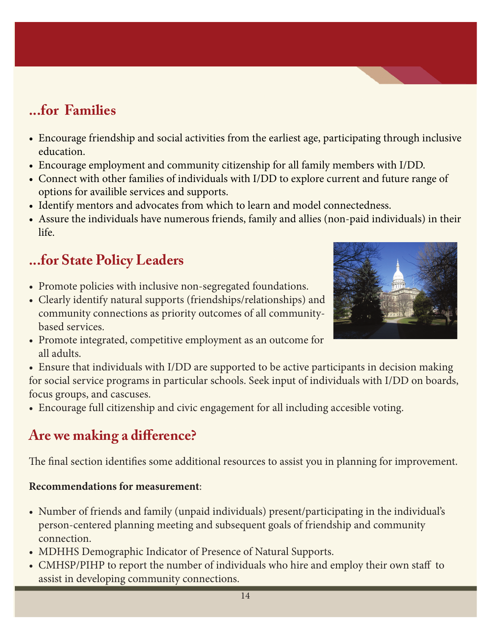### **...for Families**

- Encourage friendship and social activities from the earliest age, participating through inclusive education.
- Encourage employment and community citizenship for all family members with I/DD.
- Connect with other families of individuals with I/DD to explore current and future range of options for availible services and supports.
- Identify mentors and advocates from which to learn and model connectedness.
- Assure the individuals have numerous friends, family and allies (non-paid individuals) in their life.

### **...for State Policy Leaders**

- Promote policies with inclusive non-segregated foundations.
- Clearly identify natural supports (friendships/relationships) and community connections as priority outcomes of all communitybased services.
- Promote integrated, competitive employment as an outcome for all adults.
- Ensure that individuals with I/DD are supported to be active participants in decision making for social service programs in particular schools. Seek input of individuals with I/DD on boards, focus groups, and cascuses.
- Encourage full citizenship and civic engagement for all including accesible voting.

### **Are we making a difference?**

The final section identifies some additional resources to assist you in planning for improvement.

#### **Recommendations for measurement**:

- • Number of friends and family (unpaid individuals) present/participating in the individual's person-centered planning meeting and subsequent goals of friendship and community connection.
- MDHHS Demographic Indicator of Presence of Natural Supports.
- CMHSP/PIHP to report the number of individuals who hire and employ their own staff to assist in developing community connections.